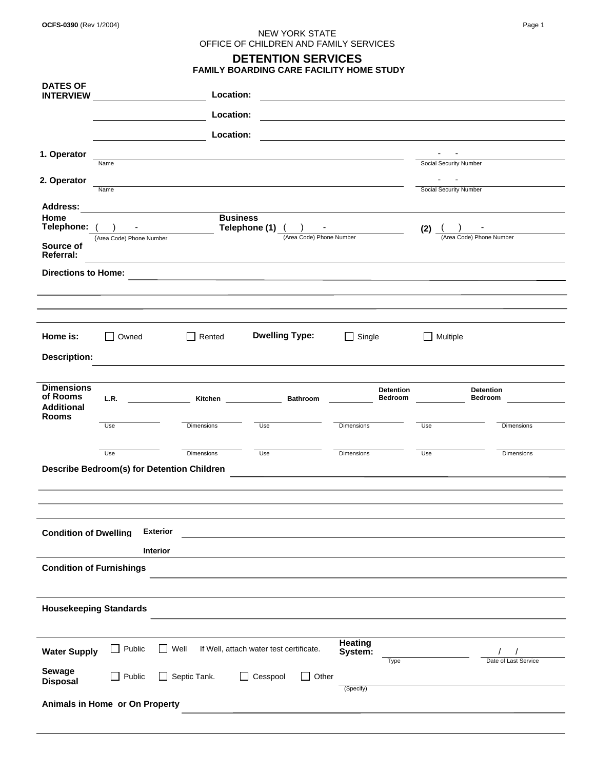## NEW YORK STATE OFFICE OF CHILDREN AND FAMILY SERVICES **DETENTION SERVICES**

|                                       |                                 |                                            | <b>FAMILY BOARDING CARE FACILITY HOME STUDY</b> |                        |                        |                          |
|---------------------------------------|---------------------------------|--------------------------------------------|-------------------------------------------------|------------------------|------------------------|--------------------------|
| <b>DATES OF</b><br><b>INTERVIEW</b>   |                                 | Location:                                  |                                                 |                        |                        |                          |
|                                       |                                 | Location:                                  |                                                 |                        |                        |                          |
|                                       |                                 | Location:                                  |                                                 |                        |                        |                          |
| 1. Operator                           |                                 |                                            |                                                 |                        |                        |                          |
|                                       | Name                            |                                            |                                                 |                        | Social Security Number |                          |
| 2. Operator                           |                                 |                                            |                                                 |                        |                        |                          |
|                                       | Name                            |                                            |                                                 |                        | Social Security Number |                          |
| <b>Address:</b><br>Home<br>Telephone: |                                 |                                            | <b>Business</b><br>Telephone (1)                |                        |                        |                          |
|                                       | (Area Code) Phone Number        |                                            | (Area Code) Phone Number                        |                        | (2)                    | (Area Code) Phone Number |
| Source of<br><b>Referral:</b>         |                                 |                                            |                                                 |                        |                        |                          |
| <b>Directions to Home:</b>            |                                 |                                            |                                                 |                        |                        |                          |
|                                       |                                 |                                            |                                                 |                        |                        |                          |
|                                       |                                 |                                            |                                                 |                        |                        |                          |
|                                       |                                 |                                            |                                                 |                        |                        |                          |
| Home is:                              | Owned                           | Rented<br>$\mathbf{L}$                     | <b>Dwelling Type:</b>                           | Single<br>$\mathsf{L}$ | $\Box$ Multiple        |                          |
| <b>Description:</b>                   |                                 |                                            |                                                 |                        |                        |                          |
|                                       |                                 |                                            |                                                 |                        |                        |                          |
| <b>Dimensions</b>                     |                                 |                                            |                                                 | <b>Detention</b>       |                        | <b>Detention</b>         |
| of Rooms<br><b>Additional</b>         | L.R.                            | Kitchen                                    | <b>Bathroom</b>                                 | <b>Bedroom</b>         |                        | <b>Bedroom</b>           |
| <b>Rooms</b>                          |                                 |                                            |                                                 |                        |                        |                          |
|                                       | Use                             | Dimensions                                 | Use                                             | Dimensions             | Use                    | Dimensions               |
|                                       | Use                             | Dimensions                                 | Use                                             | Dimensions             | Use                    | Dimensions               |
|                                       |                                 | Describe Bedroom(s) for Detention Children |                                                 |                        |                        |                          |
|                                       |                                 |                                            |                                                 |                        |                        |                          |
|                                       |                                 |                                            |                                                 |                        |                        |                          |
|                                       |                                 |                                            |                                                 |                        |                        |                          |
| <b>Condition of Dwelling</b>          |                                 | <b>Exterior</b>                            |                                                 |                        |                        |                          |
|                                       |                                 |                                            |                                                 |                        |                        |                          |
|                                       |                                 | Interior                                   |                                                 |                        |                        |                          |
|                                       | <b>Condition of Furnishings</b> |                                            |                                                 |                        |                        |                          |
|                                       |                                 |                                            |                                                 |                        |                        |                          |
|                                       | <b>Housekeeping Standards</b>   |                                            |                                                 |                        |                        |                          |
|                                       |                                 |                                            |                                                 |                        |                        |                          |
|                                       |                                 |                                            |                                                 | Heating                |                        |                          |
| <b>Water Supply</b>                   | $\Box$ Public                   | Well                                       | If Well, attach water test certificate.         | System:                |                        |                          |
| <b>Sewage</b>                         |                                 |                                            |                                                 | <b>Type</b>            |                        | Date of Last Service     |
| <b>Disposal</b>                       | $\Box$ Public                   | Septic Tank.<br>$\mathsf{L}$               | Other<br>Cesspool<br>$\mathsf{L}$<br>$\perp$    | (Specify)              |                        |                          |
|                                       | Animals in Home or On Property  |                                            |                                                 |                        |                        |                          |
|                                       |                                 |                                            |                                                 |                        |                        |                          |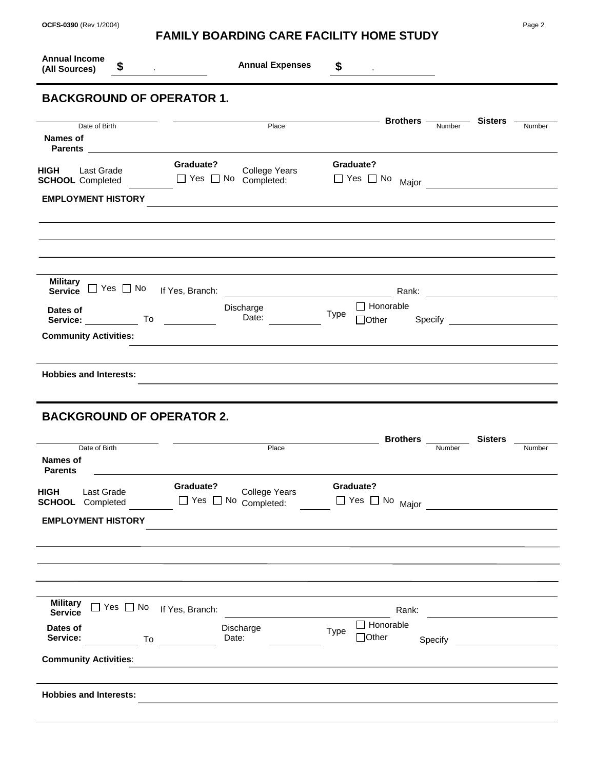| <b>Annual Income</b><br>(All Sources)                             | \$                                                            | <b>Annual Expenses</b><br><b>Contract Contract Contract</b>                                                     | \$<br><u> 1989 - Andrea State</u>              |                     |
|-------------------------------------------------------------------|---------------------------------------------------------------|-----------------------------------------------------------------------------------------------------------------|------------------------------------------------|---------------------|
|                                                                   | <b>BACKGROUND OF OPERATOR 1.</b>                              |                                                                                                                 |                                                |                     |
| <b>Names of</b>                                                   | Date of Birth                                                 | Place                                                                                                           | Number                                         | Sisters -<br>Number |
| <b>HIGH</b>                                                       | Last Grade<br><b>SCHOOL</b> Completed                         | Graduate?<br>College Years<br>$\Box$ Yes $\Box$ No Completed:                                                   | Graduate?<br>$\Box$ Yes $\Box$ No              |                     |
|                                                                   | <b>EMPLOYMENT HISTORY</b>                                     | the contract of the contract of the contract of the contract of the contract of the contract of the contract of |                                                |                     |
|                                                                   | Military<br>Service □ Yes □ No                                | If Yes, Branch:                                                                                                 |                                                |                     |
|                                                                   |                                                               |                                                                                                                 | $\Box$ Honorable                               |                     |
|                                                                   | Service: $\qquad \qquad \text{To} \qquad$                     | Discharge<br>Date:                                                                                              | Type<br>$\Box$ Other                           |                     |
| Dates of                                                          | <b>Community Activities:</b><br><b>Hobbies and Interests:</b> |                                                                                                                 |                                                |                     |
|                                                                   | <b>BACKGROUND OF OPERATOR 2.</b>                              |                                                                                                                 |                                                |                     |
|                                                                   | Date of Birth                                                 | Place                                                                                                           | <b>Brothers</b><br>Number                      | <b>Sisters</b>      |
|                                                                   | Last Grade<br><b>SCHOOL</b> Completed                         | Graduate?<br><b>College Years</b><br>$\Box$ Yes $\Box$ No Completed:                                            | Graduate?                                      | Number              |
|                                                                   | <b>EMPLOYMENT HISTORY</b>                                     |                                                                                                                 | $\Box$ Yes $\Box$ No $_{\text{Major}}$         |                     |
|                                                                   |                                                               |                                                                                                                 |                                                |                     |
| <b>Military</b><br><b>Service</b>                                 | $\Box$ Yes $\Box$ No                                          | If Yes, Branch:                                                                                                 | Rank:                                          |                     |
| Names of<br><b>Parents</b><br><b>HIGH</b><br>Dates of<br>Service: | To                                                            | Discharge<br>Date:                                                                                              | □ Honorable<br>Type<br>$\Box$ Other<br>Specify |                     |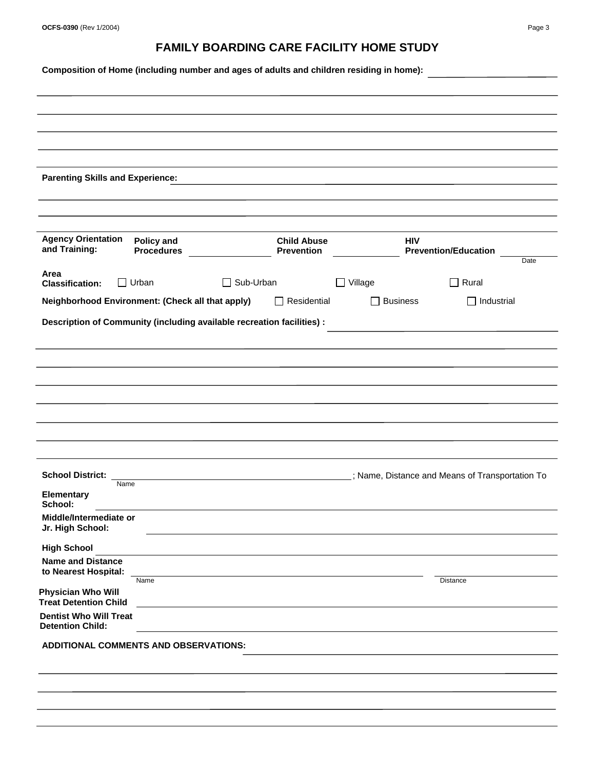| OCFS-0390 (Rev 1/2004) | Page 3 |
|------------------------|--------|
|                        |        |

## **FAMILY BOARDING CARE FACILITY HOME STUDY**

**Composition of Home (including number and ages of adults and children residing in home):**

| <b>Parenting Skills and Experience:</b>                                                                                                                                                                                                                                                                                                    |                                        |                  |                                         |                   |                                                  |      |
|--------------------------------------------------------------------------------------------------------------------------------------------------------------------------------------------------------------------------------------------------------------------------------------------------------------------------------------------|----------------------------------------|------------------|-----------------------------------------|-------------------|--------------------------------------------------|------|
|                                                                                                                                                                                                                                                                                                                                            |                                        |                  |                                         |                   |                                                  |      |
| <b>Agency Orientation</b><br>and Training:                                                                                                                                                                                                                                                                                                 | <b>Policy and</b><br><b>Procedures</b> |                  | <b>Child Abuse</b><br><b>Prevention</b> | <b>HIV</b>        | <b>Prevention/Education</b>                      | Date |
| Area<br><b>Classification:</b>                                                                                                                                                                                                                                                                                                             | $\Box$ Urban                           | $\Box$ Sub-Urban |                                         | Village<br>$\Box$ | Rural<br>П                                       |      |
| Neighborhood Environment: (Check all that apply)                                                                                                                                                                                                                                                                                           |                                        |                  | Residential                             | <b>Business</b>   | $\Box$ Industrial                                |      |
|                                                                                                                                                                                                                                                                                                                                            |                                        |                  |                                         |                   |                                                  |      |
|                                                                                                                                                                                                                                                                                                                                            |                                        |                  |                                         |                   |                                                  |      |
|                                                                                                                                                                                                                                                                                                                                            |                                        |                  |                                         |                   | .; Name, Distance and Means of Transportation To |      |
| Name                                                                                                                                                                                                                                                                                                                                       |                                        |                  |                                         |                   |                                                  |      |
|                                                                                                                                                                                                                                                                                                                                            |                                        |                  |                                         |                   |                                                  |      |
|                                                                                                                                                                                                                                                                                                                                            |                                        |                  |                                         |                   |                                                  |      |
|                                                                                                                                                                                                                                                                                                                                            | Name                                   |                  |                                         |                   | Distance                                         |      |
|                                                                                                                                                                                                                                                                                                                                            |                                        |                  |                                         |                   |                                                  |      |
|                                                                                                                                                                                                                                                                                                                                            |                                        |                  |                                         |                   |                                                  |      |
| <b>School District:</b><br><b>Elementary</b><br>School:<br>Middle/Intermediate or<br>Jr. High School:<br><b>High School</b><br><b>Name and Distance</b><br>to Nearest Hospital:<br>Physician Who Will<br><b>Treat Detention Child</b><br><b>Dentist Who Will Treat</b><br><b>Detention Child:</b><br>ADDITIONAL COMMENTS AND OBSERVATIONS: |                                        |                  |                                         |                   |                                                  |      |